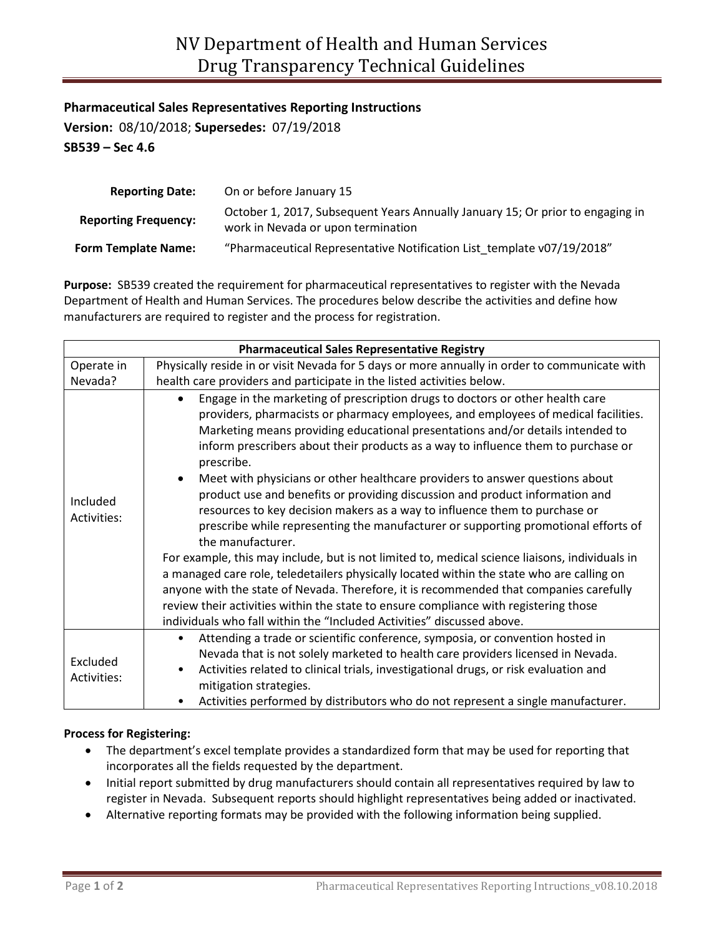**Pharmaceutical Sales Representatives Reporting Instructions**

**Version:** 08/10/2018; **Supersedes:** 07/19/2018 **SB539 – Sec 4.6**

| <b>Reporting Date:</b>      | On or before January 15                                                                                              |
|-----------------------------|----------------------------------------------------------------------------------------------------------------------|
| <b>Reporting Frequency:</b> | October 1, 2017, Subsequent Years Annually January 15; Or prior to engaging in<br>work in Nevada or upon termination |
| Form Template Name:         | "Pharmaceutical Representative Notification List template v07/19/2018"                                               |

**Purpose:** SB539 created the requirement for pharmaceutical representatives to register with the Nevada Department of Health and Human Services. The procedures below describe the activities and define how manufacturers are required to register and the process for registration.

| <b>Pharmaceutical Sales Representative Registry</b> |                                                                                                                                                                                                                                                                                                                                                                                                                                                                                                                                                                                                                                                                                                                                                                                                                                                                                                                                                                                                                                                                                                                                                                                                        |  |
|-----------------------------------------------------|--------------------------------------------------------------------------------------------------------------------------------------------------------------------------------------------------------------------------------------------------------------------------------------------------------------------------------------------------------------------------------------------------------------------------------------------------------------------------------------------------------------------------------------------------------------------------------------------------------------------------------------------------------------------------------------------------------------------------------------------------------------------------------------------------------------------------------------------------------------------------------------------------------------------------------------------------------------------------------------------------------------------------------------------------------------------------------------------------------------------------------------------------------------------------------------------------------|--|
| Operate in                                          | Physically reside in or visit Nevada for 5 days or more annually in order to communicate with                                                                                                                                                                                                                                                                                                                                                                                                                                                                                                                                                                                                                                                                                                                                                                                                                                                                                                                                                                                                                                                                                                          |  |
| Nevada?                                             | health care providers and participate in the listed activities below.                                                                                                                                                                                                                                                                                                                                                                                                                                                                                                                                                                                                                                                                                                                                                                                                                                                                                                                                                                                                                                                                                                                                  |  |
| Included<br>Activities:                             | Engage in the marketing of prescription drugs to doctors or other health care<br>$\bullet$<br>providers, pharmacists or pharmacy employees, and employees of medical facilities.<br>Marketing means providing educational presentations and/or details intended to<br>inform prescribers about their products as a way to influence them to purchase or<br>prescribe.<br>Meet with physicians or other healthcare providers to answer questions about<br>$\bullet$<br>product use and benefits or providing discussion and product information and<br>resources to key decision makers as a way to influence them to purchase or<br>prescribe while representing the manufacturer or supporting promotional efforts of<br>the manufacturer.<br>For example, this may include, but is not limited to, medical science liaisons, individuals in<br>a managed care role, teledetailers physically located within the state who are calling on<br>anyone with the state of Nevada. Therefore, it is recommended that companies carefully<br>review their activities within the state to ensure compliance with registering those<br>individuals who fall within the "Included Activities" discussed above. |  |
| Excluded<br>Activities:                             | Attending a trade or scientific conference, symposia, or convention hosted in<br>$\bullet$<br>Nevada that is not solely marketed to health care providers licensed in Nevada.<br>Activities related to clinical trials, investigational drugs, or risk evaluation and<br>$\bullet$<br>mitigation strategies.<br>Activities performed by distributors who do not represent a single manufacturer.                                                                                                                                                                                                                                                                                                                                                                                                                                                                                                                                                                                                                                                                                                                                                                                                       |  |
|                                                     |                                                                                                                                                                                                                                                                                                                                                                                                                                                                                                                                                                                                                                                                                                                                                                                                                                                                                                                                                                                                                                                                                                                                                                                                        |  |

## **Process for Registering:**

- The department's excel template provides a standardized form that may be used for reporting that incorporates all the fields requested by the department.
- Initial report submitted by drug manufacturers should contain all representatives required by law to register in Nevada. Subsequent reports should highlight representatives being added or inactivated.
- Alternative reporting formats may be provided with the following information being supplied.